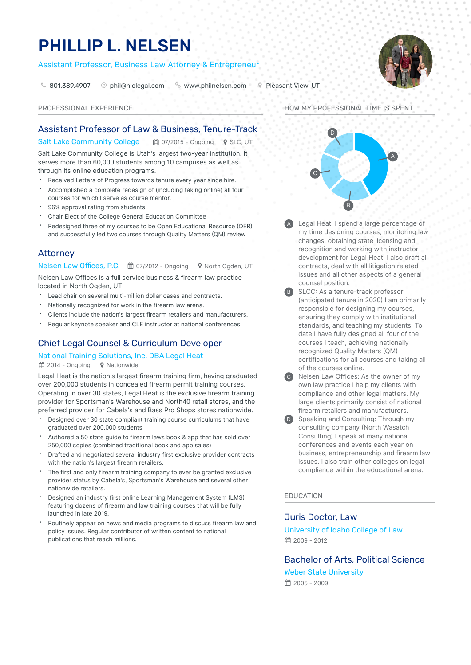# PHILLIP L. NELSEN

### Assistant Professor, Business Law Attorney & Entrepreneur

 $\ell$  [801.389.4907](tel:801.389.4907) @ [phil@nlolegal.com](mailto:phil@nlolegal.com) % [www.philnelsen.com](http://www.philnelsen.com/) ? Pleasant View, UT



PROFESSIONAL EXPERIENCE

HOW MY PROFESSIONAL TIME IS SPENT

## Assistant Professor of Law & Business, Tenure-Track

 $\hat{m}$  07/2015 - Ongoing  $\hat{V}$  SLC, UT Salt Lake Community College

Salt Lake Community College is Utah's largest two-year institution. It serves more than 60,000 students among 10 campuses as well as through its online education programs.

- Received Letters of Progress towards tenure every year since hire.
- Accomplished a complete redesign of (including taking online) all four courses for which I serve as course mentor.
- 96% approval rating from students
- Chair Elect of the College General Education Committee
- Redesigned three of my courses to be Open Educational Resource (OER) and successfully led two courses through Quality Matters (QM) review

## Attorney

Nelsen Law Offices, P.C. 的 07/2012 - Ongoing 9 North Ogden, UT Nelsen Law Offices is a full service business & firearm law practice located in North Ogden, UT

- Lead chair on several multi-million dollar cases and contracts.
- Nationally recognized for work in the firearm law arena.
- Clients include the nation's largest firearm retailers and manufacturers.
- Regular keynote speaker and CLE instructor at national conferences.

## Chief Legal Counsel & Curriculum Developer

### National Training Solutions, Inc. DBA Legal Heat

 $\hat{m}$  2014 - Ongoing **9** Nationwide

Legal Heat is the nation's largest firearm training firm, having graduated over 200,000 students in concealed firearm permit training courses. Operating in over 30 states, Legal Heat is the exclusive firearm training provider for Sportsman's Warehouse and North40 retail stores, and the preferred provider for Cabela's and Bass Pro Shops stores nationwide.

- Designed over 30 state compliant training course curriculums that have graduated over 200,000 students
- Authored a 50 state guide to firearm laws book & app that has sold over 250,000 copies (combined traditional book and app sales)
- Drafted and negotiated several industry first exclusive provider contracts with the nation's largest firearm retailers.
- The first and only firearm training company to ever be granted exclusive provider status by Cabela's, Sportsman's Warehouse and several other nationwide retailers.
- Designed an industry first online Learning Management System LMS featuring dozens of firearm and law training courses that will be fully launched in late 2019.
- Routinely appear on news and media programs to discuss firearm law and policy issues. Regular contributor of written content to national publications that reach millions.



- $\mathsf{A}$ Legal Heat: I spend a large percentage of my time designing courses, monitoring law changes, obtaining state licensing and recognition and working with instructor development for Legal Heat. I also draft all contracts, deal with all litigation related issues and all other aspects of a general counsel position.
- $\mathsf B$ SLCC: As a tenure-track professor (anticipated tenure in 2020 I am primarily responsible for designing my courses, ensuring they comply with institutional standards, and teaching my students. To date I have fully designed all four of the courses I teach, achieving nationally recognized Quality Matters (QM) certifications for all courses and taking all of the courses online.
- $\mathsf{C}\,$ Nelsen Law Offices: As the owner of my own law practice I help my clients with compliance and other legal matters. My large clients primarily consist of national firearm retailers and manufacturers.
- $D$ Speaking and Consulting: Through my consulting company (North Wasatch Consulting) I speak at many national conferences and events each year on business, entrepreneurship and firearm law issues. I also train other colleges on legal compliance within the educational arena.

#### EDUCATION

### Juris Doctor, Law

 $# 2009 - 2012$ University of Idaho College of Law

## Bachelor of Arts, Political Science

 $# 2005 - 2009$ Weber State University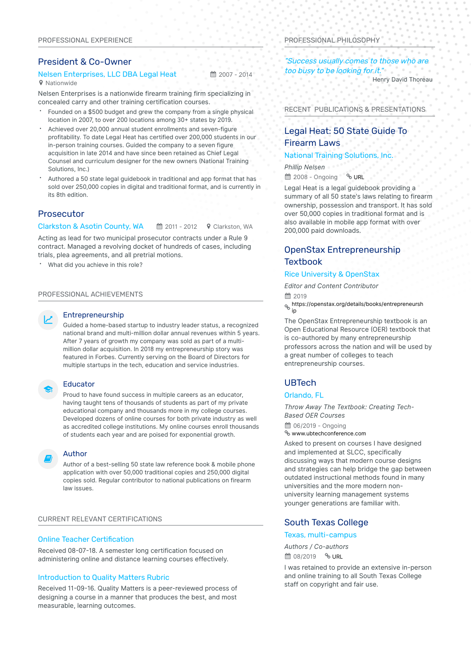### President & Co-Owner

#### **9** Nationwide Nelsen Enterprises, LLC DBA Legal Heat

Nelsen Enterprises is a nationwide firearm training firm specializing in concealed carry and other training certification courses.

 $# 2007 - 2014$ 

- Founded on a \$500 budget and grew the company from a single physical location in 2007, to over 200 locations among 30+ states by 2019.
- Achieved over 20,000 annual student enrollments and seven-figure profitability. To date Legal Heat has certified over 200,000 students in our in-person training courses. Guided the company to a seven figure acquisition in late 2014 and have since been retained as Chief Legal Counsel and curriculum designer for the new owners (National Training Solutions, Inc.)
- Authored a 50 state legal guidebook in traditional and app format that has sold over 250,000 copies in digital and traditional format, and is currently in its 8th edition.

## **Prosecutor**

ビー

 $\bullet$ 

e,

#### **■ 2011 - 2012 9 Clarkston, WA** Clarkston & Asotin County, WA

Acting as lead for two municipal prosecutor contracts under a Rule 9 contract. Managed a revolving docket of hundreds of cases, including trials, plea agreements, and all pretrial motions.

- What did you achieve in this role?

#### PROFESSIONAL ACHIEVEMENTS

#### Entrepreneurship

Guided a home-based startup to industry leader status, a recognized national brand and multi-million dollar annual revenues within 5 years. After 7 years of growth my company was sold as part of a multimillion dollar acquisition. In 2018 my entrepreneurship story was featured in Forbes. Currently serving on the Board of Directors for multiple startups in the tech, education and service industries.

#### **Educator**

Proud to have found success in multiple careers as an educator, having taught tens of thousands of students as part of my private educational company and thousands more in my college courses. Developed dozens of online courses for both private industry as well as accredited college institutions. My online courses enroll thousands of students each year and are poised for exponential growth.

#### Author

Author of a best-selling 50 state law reference book & mobile phone application with over 50,000 traditional copies and 250,000 digital copies sold. Regular contributor to national publications on firearm law issues.

#### CURRENT RELEVANT CERTIFICATIONS

#### Online Teacher Certification

Received 08-07-18. A semester long certification focused on administering online and distance learning courses effectively.

#### Introduction to Quality Matters Rubric

Received 11-09-16. Quality Matters is a peer-reviewed process of designing a course in a manner that produces the best, and most measurable, learning outcomes.

"Success usually comes to those who are too busy to be looking for it."

Henry David Thoreau

RECENT PUBLICATIONS & PRESENTATIONS

## Legal Heat: 50 State Guide To Firearm Laws

#### National Training Solutions, Inc.

*Phillip Nelsen*

 $\hat{m}$  2008 - Ongoing  $\%$  [URL](http://url/)

Legal Heat is a legal guidebook providing a summary of all 50 state's laws relating to firearm ownership, possession and transport. It has sold over 50,000 copies in traditional format and is also available in mobile app format with over 200,000 paid downloads.

## OpenStax Entrepreneurship **Textbook**

#### Rice University & OpenStax

₩ 2019 *Editor and Content Contributor*

> [https://openstax.org/details/books/entrepreneursh](https://openstax.org/details/books/entrepreneurship) ip

The OpenStax Entrepreneurship textbook is an Open Educational Resource (OER) textbook that is co-authored by many entrepreneurship professors across the nation and will be used by a great number of colleges to teach entrepreneurship courses.

## UBTech

#### Orlando, FL

*Throw Away The Textbook: Creating Tech-Based OER Courses*

**曲 06/2019 - Ongoing** 

> [www.ubtechconference.com](http://www.ubtechconference.com/)

Asked to present on courses I have designed and implemented at SLCC, specifically discussing ways that modern course designs and strategies can help bridge the gap between outdated instructional methods found in many universities and the more modern nonuniversity learning management systems younger generations are familiar with.

## South Texas College

#### Texas, multi-campus

 $\frac{44}{2019}$  % [URL](http://url/) *Authors / Co-authors*

I was retained to provide an extensive in-person and online training to all South Texas College staff on copyright and fair use.